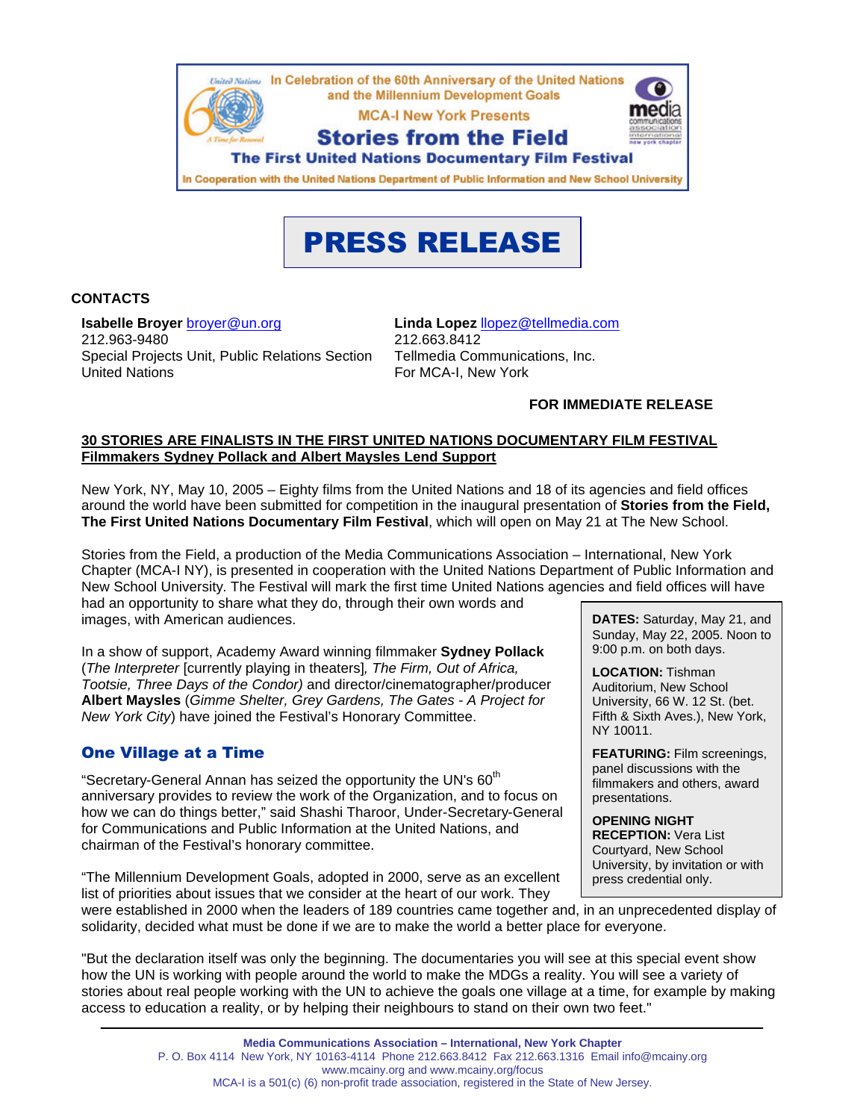

# PRESS RELEASE

#### **CONTACTS**

**Isabelle Broyer** [broyer@un.org](mailto:broyer@un.org) 212.963-9480 Special Projects Unit, Public Relations Section United Nations

**Linda Lopez** [llopez@tellmedia.com](mailto:llopez@tellmedia.com) 212.663.8412 Tellmedia Communications, Inc. For MCA-I, New York

#### **FOR IMMEDIATE RELEASE**

#### **30 STORIES ARE FINALISTS IN THE FIRST UNITED NATIONS DOCUMENTARY FILM FESTIVAL Filmmakers Sydney Pollack and Albert Maysles Lend Support**

New York, NY, May 10, 2005 – Eighty films from the United Nations and 18 of its agencies and field offices around the world have been submitted for competition in the inaugural presentation of **Stories from the Field, The First United Nations Documentary Film Festival**, which will open on May 21 at The New School.

Stories from the Field, a production of the Media Communications Association – International, New York Chapter (MCA-I NY), is presented in cooperation with the United Nations Department of Public Information and New School University. The Festival will mark the first time United Nations agencies and field offices will have had an opportunity to share what they do, through their own words and images, with American audiences.

In a show of support, Academy Award winning filmmaker **Sydney Pollack** (*The Interpreter* [currently playing in theaters]*, The Firm, Out of Africa, Tootsie, Three Days of the Condor)* and director/cinematographer/producer **Albert Maysles** (*Gimme Shelter, Grey Gardens, The Gates - A Project for New York City*) have joined the Festival's Honorary Committee.

# One Village at a Time

"Secretary-General Annan has seized the opportunity the UN's 60<sup>th</sup> anniversary provides to review the work of the Organization, and to focus on how we can do things better," said Shashi Tharoor, Under-Secretary-General for Communications and Public Information at the United Nations, and chairman of the Festival's honorary committee.

"The Millennium Development Goals, adopted in 2000, serve as an excellent list of priorities about issues that we consider at the heart of our work. They

**DATES:** Saturday, May 21, and Sunday, May 22, 2005. Noon to 9:00 p.m. on both days.

**LOCATION:** Tishman Auditorium, New School University, 66 W. 12 St. (bet. Fifth & Sixth Aves.), New York, NY 10011.

**FEATURING:** Film screenings, panel discussions with the filmmakers and others, award presentations.

**OPENING NIGHT RECEPTION:** Vera List Courtyard, New School University, by invitation or with press credential only.

were established in 2000 when the leaders of 189 countries came together and, in an unprecedented display of solidarity, decided what must be done if we are to make the world a better place for everyone.

"But the declaration itself was only the beginning. The documentaries you will see at this special event show how the UN is working with people around the world to make the MDGs a reality. You will see a variety of stories about real people working with the UN to achieve the goals one village at a time, for example by making access to education a reality, or by helping their neighbours to stand on their own two feet."